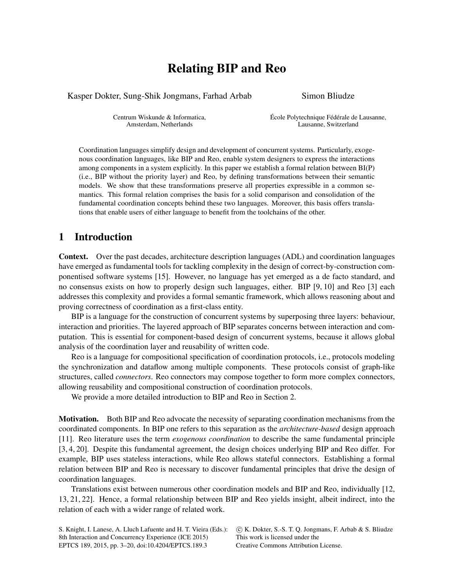# Relating BIP and Reo

Kasper Dokter, Sung-Shik Jongmans, Farhad Arbab

Simon Bliudze

Centrum Wiskunde & Informatica, Amsterdam, Netherlands

École Polytechnique Fédérale de Lausanne, Lausanne, Switzerland

Coordination languages simplify design and development of concurrent systems. Particularly, exogenous coordination languages, like BIP and Reo, enable system designers to express the interactions among components in a system explicitly. In this paper we establish a formal relation between BI(P) (i.e., BIP without the priority layer) and Reo, by defining transformations between their semantic models. We show that these transformations preserve all properties expressible in a common semantics. This formal relation comprises the basis for a solid comparison and consolidation of the fundamental coordination concepts behind these two languages. Moreover, this basis offers translations that enable users of either language to benefit from the toolchains of the other.

# 1 Introduction

Context. Over the past decades, architecture description languages (ADL) and coordination languages have emerged as fundamental tools for tackling complexity in the design of correct-by-construction componentised software systems [\[15\]](#page-16-0). However, no language has yet emerged as a de facto standard, and no consensus exists on how to properly design such languages, either. BIP [\[9,](#page-16-1) [10\]](#page-16-2) and Reo [\[3\]](#page-16-3) each addresses this complexity and provides a formal semantic framework, which allows reasoning about and proving correctness of coordination as a first-class entity.

BIP is a language for the construction of concurrent systems by superposing three layers: behaviour, interaction and priorities. The layered approach of BIP separates concerns between interaction and computation. This is essential for component-based design of concurrent systems, because it allows global analysis of the coordination layer and reusability of written code.

Reo is a language for compositional specification of coordination protocols, i.e., protocols modeling the synchronization and dataflow among multiple components. These protocols consist of graph-like structures, called *connectors*. Reo connectors may compose together to form more complex connectors, allowing reusability and compositional construction of coordination protocols.

We provide a more detailed introduction to BIP and Reo in Section [2.](#page-1-0)

Motivation. Both BIP and Reo advocate the necessity of separating coordination mechanisms from the coordinated components. In BIP one refers to this separation as the *architecture-based* design approach [\[11\]](#page-16-4). Reo literature uses the term *exogenous coordination* to describe the same fundamental principle [\[3,](#page-16-3) [4,](#page-16-5) [20\]](#page-16-6). Despite this fundamental agreement, the design choices underlying BIP and Reo differ. For example, BIP uses stateless interactions, while Reo allows stateful connectors. Establishing a formal relation between BIP and Reo is necessary to discover fundamental principles that drive the design of coordination languages.

Translations exist between numerous other coordination models and BIP and Reo, individually [\[12,](#page-16-7) [13,](#page-16-8) [21,](#page-17-1) [22\]](#page-17-2). Hence, a formal relationship between BIP and Reo yields insight, albeit indirect, into the relation of each with a wider range of related work.

S. Knight, I. Lanese, A. Lluch Lafuente and H. T. Vieira (Eds.): 8th Interaction and Concurrency Experience (ICE 2015) EPTCS 189, 2015, pp. 3[–20,](#page-17-0) doi[:10.4204/EPTCS.189.3](http://dx.doi.org/10.4204/EPTCS.189.3)

 c K. Dokter, S.-S. T. Q. Jongmans, F. Arbab & S. Bliudze This work is licensed under the [Creative Commons](http://creativecommons.org) [Attribution](http://creativecommons.org/licenses/by/3.0/) License.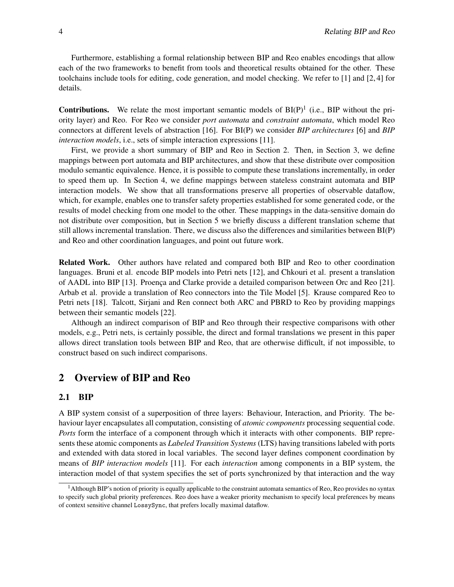Furthermore, establishing a formal relationship between BIP and Reo enables encodings that allow each of the two frameworks to benefit from tools and theoretical results obtained for the other. These toolchains include tools for editing, code generation, and model checking. We refer to [\[1\]](#page-16-9) and [\[2,](#page-16-10) [4\]](#page-16-5) for details.

**Contributions.** We relate the most important semantic models of  $BI(P)^{1}$  $BI(P)^{1}$  $BI(P)^{1}$  (i.e., BIP without the priority layer) and Reo. For Reo we consider *port automata* and *constraint automata*, which model Reo connectors at different levels of abstraction [\[16\]](#page-16-11). For BI(P) we consider *BIP architectures* [\[6\]](#page-16-12) and *BIP interaction models*, i.e., sets of simple interaction expressions [\[11\]](#page-16-4).

First, we provide a short summary of BIP and Reo in Section [2.](#page-1-0) Then, in Section [3,](#page-7-0) we define mappings between port automata and BIP architectures, and show that these distribute over composition modulo semantic equivalence. Hence, it is possible to compute these translations incrementally, in order to speed them up. In Section [4,](#page-12-0) we define mappings between stateless constraint automata and BIP interaction models. We show that all transformations preserve all properties of observable dataflow, which, for example, enables one to transfer safety properties established for some generated code, or the results of model checking from one model to the other. These mappings in the data-sensitive domain do not distribute over composition, but in Section [5](#page-15-0) we briefly discuss a different translation scheme that still allows incremental translation. There, we discuss also the differences and similarities between BI(P) and Reo and other coordination languages, and point out future work.

Related Work. Other authors have related and compared both BIP and Reo to other coordination languages. Bruni et al. encode BIP models into Petri nets [\[12\]](#page-16-7), and Chkouri et al. present a translation of AADL into BIP [\[13\]](#page-16-8). Proença and Clarke provide a detailed comparison between Orc and Reo [\[21\]](#page-17-1). Arbab et al. provide a translation of Reo connectors into the Tile Model [\[5\]](#page-16-13). Krause compared Reo to Petri nets [\[18\]](#page-16-14). Talcott, Sirjani and Ren connect both ARC and PBRD to Reo by providing mappings between their semantic models [\[22\]](#page-17-2).

Although an indirect comparison of BIP and Reo through their respective comparisons with other models, e.g., Petri nets, is certainly possible, the direct and formal translations we present in this paper allows direct translation tools between BIP and Reo, that are otherwise difficult, if not impossible, to construct based on such indirect comparisons.

# <span id="page-1-0"></span>2 Overview of BIP and Reo

#### 2.1 BIP

A BIP system consist of a superposition of three layers: Behaviour, Interaction, and Priority. The behaviour layer encapsulates all computation, consisting of *atomic components* processing sequential code. *Ports* form the interface of a component through which it interacts with other components. BIP represents these atomic components as *Labeled Transition Systems* (LTS) having transitions labeled with ports and extended with data stored in local variables. The second layer defines component coordination by means of *BIP interaction models* [\[11\]](#page-16-4). For each *interaction* among components in a BIP system, the interaction model of that system specifies the set of ports synchronized by that interaction and the way

<span id="page-1-1"></span> $<sup>1</sup>$ Although BIP's notion of priority is equally applicable to the constraint automata semantics of Reo, Reo provides no syntax</sup> to specify such global priority preferences. Reo does have a weaker priority mechanism to specify local preferences by means of context sensitive channel LossySync, that prefers locally maximal dataflow.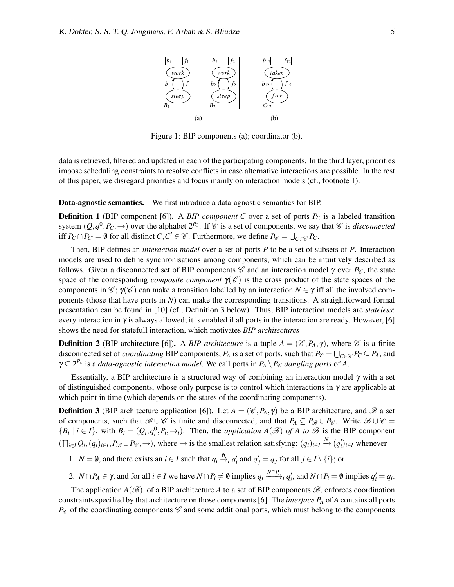

Figure 1: BIP components (a); coordinator (b).

<span id="page-2-1"></span>data is retrieved, filtered and updated in each of the participating components. In the third layer, priorities impose scheduling constraints to resolve conflicts in case alternative interactions are possible. In the rest of this paper, we disregard priorities and focus mainly on interaction models (cf., footnote [1\)](#page-1-1).

Data-agnostic semantics. We first introduce a data-agnostic semantics for BIP.

<span id="page-2-2"></span>**Definition 1** (BIP component [\[6\]](#page-16-12)). A *BIP component C* over a set of ports  $P_C$  is a labeled transition system  $(Q, q^0, P_C, \to)$  over the alphabet  $2^{P_C}$ . If  $\mathscr C$  is a set of components, we say that  $\mathscr C$  is *disconnected* iff  $P_C \cap P_{C'} = \emptyset$  for all distinct  $C, C' \in \mathscr{C}$ . Furthermore, we define  $P_{\mathscr{C}} = \bigcup_{C \in \mathscr{C}} P_C$ .

Then, BIP defines an *interaction model* over a set of ports *P* to be a set of subsets of *P*. Interaction models are used to define synchronisations among components, which can be intuitively described as follows. Given a disconnected set of BIP components  $\mathscr C$  and an interaction model  $\gamma$  over  $P_{\mathscr C}$ , the state space of the corresponding *composite component*  $\gamma(\mathscr{C})$  is the cross product of the state spaces of the components in  $\mathscr{C}$ ;  $\gamma(\mathscr{C})$  can make a transition labelled by an interaction  $N \in \gamma$  iff all the involved components (those that have ports in *N*) can make the corresponding transitions. A straightforward formal presentation can be found in [\[10\]](#page-16-2) (cf., Definition [3](#page-2-0) below). Thus, BIP interaction models are *stateless*: every interaction in  $\gamma$  is always allowed; it is enabled if all ports in the interaction are ready. However, [\[6\]](#page-16-12) shows the need for statefull interaction, which motivates *BIP architectures*

**Definition 2** (BIP architecture [\[6\]](#page-16-12)). A *BIP architecture* is a tuple  $A = (\mathscr{C}, P_A, \gamma)$ , where  $\mathscr{C}$  is a finite disconnected set of *coordinating* BIP components,  $P_A$  is a set of ports, such that  $P_{\mathscr{C}} = \bigcup_{C \in \mathscr{C}} P_C \subseteq P_A$ , and  $\gamma \subseteq 2^{P_A}$  is a *data-agnostic interaction model*. We call ports in  $P_A \setminus P_{\mathscr{C}}$  *dangling ports* of *A*.

Essentially, a BIP architecture is a structured way of combining an interaction model  $\gamma$  with a set of distinguished components, whose only purpose is to control which interactions in  $\gamma$  are applicable at which point in time (which depends on the states of the coordinating components).

<span id="page-2-0"></span>**Definition 3** (BIP architecture application [\[6\]](#page-16-12)). Let  $A = (\mathcal{C}, P_A, \gamma)$  be a BIP architecture, and  $\mathcal{B}$  a set of components, such that  $\mathscr{B} \cup \mathscr{C}$  is finite and disconnected, and that  $P_A \subseteq P_{\mathscr{B}} \cup P_{\mathscr{C}}$ . Write  $\mathscr{B} \cup \mathscr{C} =$  ${B_i \mid i \in I}$ , with  $B_i = (Q_i, q_i^0, P_i, \rightarrow_i)$ . Then, the *application*  $A(\mathscr{B})$  *of A to*  $\mathscr{B}$  is the BIP component  $(\prod_{i \in I} Q_i, (q_i)_{i \in I}, P_{\mathscr{B}} \cup P_{\mathscr{C}}, \to)$ , where  $\to$  is the smallest relation satisfying:  $(q_i)_{i \in I} \stackrel{N}{\to} (q'_i)_{i \in I}$  whenever

1.  $N = \emptyset$ , and there exists an  $i \in I$  such that  $q_i \xrightarrow{\emptyset} q'_i$  and  $q'_j = q_j$  for all  $j \in I \setminus \{i\}$ ; or

2.  $N \cap P_A \in \gamma$ , and for all  $i \in I$  we have  $N \cap P_i \neq \emptyset$  implies  $q_i \xrightarrow{N \cap P_i} q'_i$ , and  $N \cap P_i = \emptyset$  implies  $q'_i = q_i$ .

The application  $A(\mathscr{B})$ , of a BIP architecture A to a set of BIP components  $\mathscr{B}$ , enforces coordination constraints specified by that architecture on those components [\[6\]](#page-16-12). The *interface P<sup>A</sup>* of *A* contains all ports  $P_{\mathscr{C}}$  of the coordinating components  $\mathscr{C}$  and some additional ports, which must belong to the components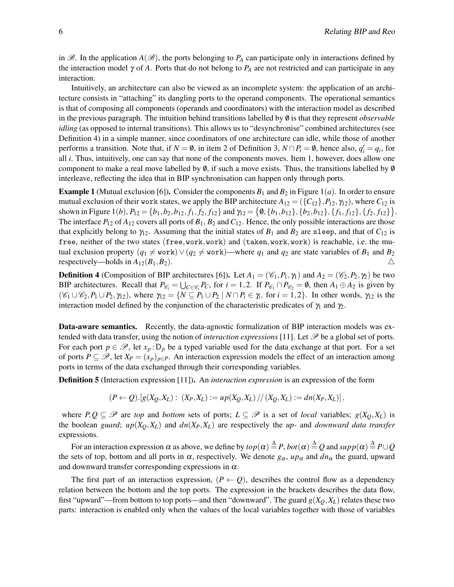in  $\mathscr{B}$ . In the application  $A(\mathscr{B})$ , the ports belonging to  $P_A$  can participate only in interactions defined by the interaction model  $\gamma$  of A. Ports that do not belong to  $P_A$  are not restricted and can participate in any interaction.

Intuitively, an architecture can also be viewed as an incomplete system: the application of an architecture consists in "attaching" its dangling ports to the operand components. The operational semantics is that of composing all components (operands and coordinators) with the interaction model as described in the previous paragraph. The intuition behind transitions labelled by  $\emptyset$  is that they represent *observable idling* (as opposed to internal transitions). This allows us to "desynchronise" combined architectures (see Definition [4\)](#page-3-0) in a simple manner, since coordinators of one architecture can idle, while those of another performs a transition. Note that, if  $N = \emptyset$ , in item 2 of Definition [3,](#page-2-0)  $N \cap P_i = \emptyset$ , hence also,  $q'_i = q_i$ , for all *i*. Thus, intuitively, one can say that none of the components moves. Item 1, however, does allow one component to make a real move labelled by  $\emptyset$ , if such a move exists. Thus, the transitions labelled by  $\emptyset$ interleave, reflecting the idea that in BIP synchronisation can happen only through ports.

<span id="page-3-1"></span>**Example [1](#page-2-1)** (Mutual exclusion [\[6\]](#page-16-12)). Consider the components  $B_1$  and  $B_2$  in Figure 1(*a*). In order to ensure mutual exclusion of their work states, we apply the BIP architecture  $A_{12} = (\{C_{12}\}, P_{12}, \gamma_{12})$ , where  $C_{12}$  is shown in Figure [1](#page-2-1)(*b*),  $P_{12} = \{b_1, b_2, b_{12}, f_1, f_2, f_{12}\}$  and  $\gamma_{12} = \{0, \{b_1, b_{12}\}, \{b_2, b_{12}\}, \{f_1, f_{12}\}, \{f_2, f_{12}\}\}.$ The interface  $P_{12}$  of  $A_{12}$  covers all ports of  $B_1$ ,  $B_2$  and  $C_{12}$ . Hence, the only possible interactions are those that explicitly belong to  $\gamma_{12}$ . Assuming that the initial states of  $B_1$  and  $B_2$  are sleep, and that of  $C_{12}$  is free, neither of the two states (free,work,work) and (taken,work,work) is reachable, i.e. the mutual exclusion property  $(q_1 \neq \text{work}) \vee (q_2 \neq \text{work})$ —where  $q_1$  and  $q_2$  are state variables of  $B_1$  and  $B_2$ respectively—holds in  $A_{12}(B_1, B_2)$ .

<span id="page-3-0"></span>**Definition 4** (Composition of BIP architectures [\[6\]](#page-16-12)). Let  $A_1 = (\mathcal{C}_1, P_1, \gamma_1)$  and  $A_2 = (\mathcal{C}_2, P_2, \gamma_2)$  be two BIP architectures. Recall that  $P_{\mathscr{C}_i} = \bigcup_{C \in \mathscr{C}_i} P_C$ , for  $i = 1, 2$ . If  $P_{\mathscr{C}_1} \cap P_{\mathscr{C}_2} = \emptyset$ , then  $A_1 \oplus A_2$  is given by  $(\mathscr{C}_1 \cup \mathscr{C}_2, P_1 \cup P_2, \gamma_{12})$ , where  $\gamma_{12} = \{ N \subseteq P_1 \cup P_2 \mid N \cap P_i \in \gamma_i, \text{ for } i = 1, 2 \}$ . In other words,  $\gamma_{12}$  is the interaction model defined by the conjunction of the characteristic predicates of  $\gamma_1$  and  $\gamma_2$ .

Data-aware semantics. Recently, the data-agnostic formalization of BIP interaction models was extended with data transfer, using the notion of *interaction expressions* [\[11\]](#page-16-4). Let  $\mathscr P$  be a global set of ports. For each port  $p \in \mathcal{P}$ , let  $x_p : D_p$  be a typed variable used for the data exchange at that port. For a set of ports  $P \subseteq \mathcal{P}$ , let  $X_P = (x_p)_{p \in P}$ . An interaction expression models the effect of an interaction among ports in terms of the data exchanged through their corresponding variables.

<span id="page-3-2"></span>Definition 5 (Interaction expression [\[11\]](#page-16-4)). An *interaction expression* is an expression of the form

$$
(P \leftarrow Q) \cdot [g(X_Q, X_L) : (X_P, X_L) := up(X_Q, X_L) // (X_Q, X_L) := dn(X_P, X_L)],
$$

where  $P, Q \subseteq \mathcal{P}$  are *top* and *bottom* sets of ports;  $L \subseteq \mathcal{P}$  is a set of *local* variables;  $g(X_Q, X_L)$  is the boolean *guard*;  $up(X_0, X_L)$  and  $dn(X_P, X_L)$  are respectively the *up-* and *downward data transfer* expressions.

For an interaction expression  $\alpha$  as above, we define by  $top(\alpha) \stackrel{\Delta}{=} P$ ,  $bot(\alpha) \stackrel{\Delta}{=} Q$  and  $supp(\alpha) \stackrel{\Delta}{=} P\cup Q$ the sets of top, bottom and all ports in  $\alpha$ , respectively. We denote  $g_{\alpha}$ ,  $u p_{\alpha}$  and  $dn_{\alpha}$  the guard, upward and downward transfer corresponding expressions in  $\alpha$ .

The first part of an interaction expression,  $(P \leftarrow Q)$ , describes the control flow as a dependency relation between the bottom and the top ports. The expression in the brackets describes the data flow, first "upward"—from bottom to top ports—and then "downward". The guard  $g(X_Q, X_L)$  relates these two parts: interaction is enabled only when the values of the local variables together with those of variables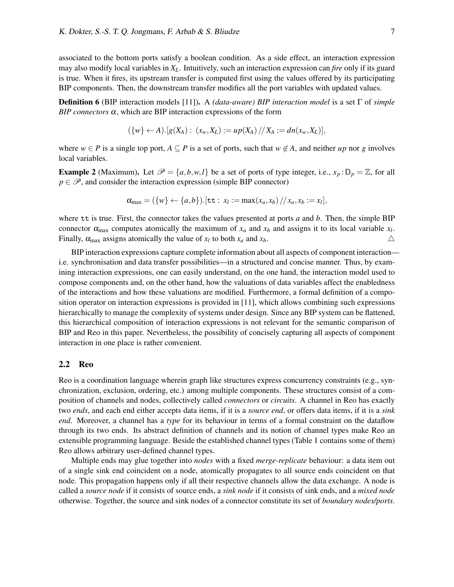associated to the bottom ports satisfy a boolean condition. As a side effect, an interaction expression may also modify local variables in *XL*. Intuitively, such an interaction expression can *fire* only if its guard is true. When it fires, its upstream transfer is computed first using the values offered by its participating BIP components. Then, the downstream transfer modifies all the port variables with updated values.

Definition 6 (BIP interaction models [\[11\]](#page-16-4)). A *(data-aware) BIP interaction model* is a set Γ of *simple BIP connectors*  $\alpha$ , which are BIP interaction expressions of the form

$$
(\{w\} \leftarrow A) . [g(X_A) : (x_w, X_L) := up(X_A) // X_A := dn(x_w, X_L)],
$$

where  $w \in P$  is a single top port,  $A \subseteq P$  is a set of ports, such that  $w \notin A$ , and neither *up* nor *g* involves local variables.

<span id="page-4-1"></span>**Example 2** (Maximum). Let  $\mathcal{P} = \{a, b, w, l\}$  be a set of ports of type integer, i.e.,  $x_p : D_p = \mathbb{Z}$ , for all  $p \in \mathscr{P}$ , and consider the interaction expression (simple BIP connector)

$$
\alpha_{\max} = (\{w\} \leftarrow \{a,b\}).[\mathtt{tt}: x_l := \max(x_a, x_b) // x_a, x_b := x_l],
$$

where tt is true. First, the connector takes the values presented at ports *a* and *b*. Then, the simple BIP connector  $\alpha_{\text{max}}$  computes atomically the maximum of  $x_a$  and  $x_b$  and assigns it to its local variable  $x_l$ . Finally,  $\alpha_{\text{max}}$  assigns atomically the value of  $x_l$  to both  $x_a$  and  $x_b$ .

BIP interaction expressions capture complete information about all aspects of component interaction i.e. synchronisation and data transfer possibilities—in a structured and concise manner. Thus, by examining interaction expressions, one can easily understand, on the one hand, the interaction model used to compose components and, on the other hand, how the valuations of data variables affect the enabledness of the interactions and how these valuations are modified. Furthermore, a formal definition of a composition operator on interaction expressions is provided in [\[11\]](#page-16-4), which allows combining such expressions hierarchically to manage the complexity of systems under design. Since any BIP system can be flattened, this hierarchical composition of interaction expressions is not relevant for the semantic comparison of BIP and Reo in this paper. Nevertheless, the possibility of concisely capturing all aspects of component interaction in one place is rather convenient.

### <span id="page-4-0"></span>2.2 Reo

Reo is a coordination language wherein graph like structures express concurrency constraints (e.g., synchronization, exclusion, ordering, etc.) among multiple components. These structures consist of a composition of channels and nodes, collectively called *connectors* or *circuits*. A channel in Reo has exactly two *ends*, and each end either accepts data items, if it is a *source end*, or offers data items, if it is a *sink end*. Moreover, a channel has a *type* for its behaviour in terms of a formal constraint on the dataflow through its two ends. Its abstract definition of channels and its notion of channel types make Reo an extensible programming language. Beside the established channel types (Table [1](#page-6-0) contains some of them) Reo allows arbitrary user-defined channel types.

Multiple ends may glue together into *nodes* with a fixed *merge-replicate* behaviour: a data item out of a single sink end coincident on a node, atomically propagates to all source ends coincident on that node. This propagation happens only if all their respective channels allow the data exchange. A node is called a *source node* if it consists of source ends, a *sink node* if it consists of sink ends, and a *mixed node* otherwise. Together, the source and sink nodes of a connector constitute its set of *boundary nodes/ports*.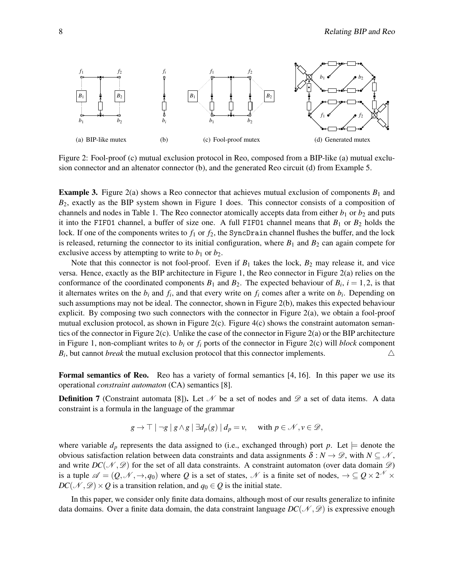<span id="page-5-4"></span><span id="page-5-3"></span><span id="page-5-2"></span><span id="page-5-1"></span><span id="page-5-0"></span>

Figure 2: Fool-proof (c) mutual exclusion protocol in Reo, composed from a BIP-like (a) mutual exclusion connector and an altenator connector (b), and the generated Reo circuit (d) from Example [5.](#page-8-0)

**Example 3.** Figure [2\(a\)](#page-5-0) shows a Reo connector that achieves mutual exclusion of components  $B_1$  and *B*2, exactly as the BIP system shown in Figure [1](#page-2-1) does. This connector consists of a composition of channels and nodes in Table [1.](#page-6-0) The Reo connector atomically accepts data from either  $b_1$  or  $b_2$  and puts it into the FIF01 channel, a buffer of size one. A full FIF01 channel means that  $B_1$  or  $B_2$  holds the lock. If one of the components writes to  $f_1$  or  $f_2$ , the SyncDrain channel flushes the buffer, and the lock is released, returning the connector to its initial configuration, where  $B_1$  and  $B_2$  can again compete for exclusive access by attempting to write to  $b_1$  or  $b_2$ .

Note that this connector is not fool-proof. Even if  $B_1$  takes the lock,  $B_2$  may release it, and vice versa. Hence, exactly as the BIP architecture in Figure [1,](#page-2-1) the Reo connector in Figure [2\(a\)](#page-5-0) relies on the conformance of the coordinated components  $B_1$  and  $B_2$ . The expected behaviour of  $B_i$ ,  $i = 1, 2$ , is that it alternates writes on the  $b_i$  and  $f_i$ , and that every write on  $f_i$  comes after a write on  $b_i$ . Depending on such assumptions may not be ideal. The connector, shown in Figure [2\(b\),](#page-5-1) makes this expected behaviour explicit. By composing two such connectors with the connector in Figure [2\(a\),](#page-5-0) we obtain a fool-proof mutual exclusion protocol, as shown in Figure  $2(c)$ . Figure  $4(c)$  shows the constraint automaton semantics of the connector in Figure [2\(c\).](#page-5-2) Unlike the case of the connector in Figure [2\(a\)](#page-5-0) or the BIP architecture in Figure [1,](#page-2-1) non-compliant writes to  $b_i$  or  $f_i$  ports of the connector in Figure [2\(c\)](#page-5-2) will *block* component  $B_i$ , but cannot *break* the mutual exclusion protocol that this connector implements.  $\triangle$ 

Formal semantics of Reo. Reo has a variety of formal semantics [\[4,](#page-16-5) [16\]](#page-16-11). In this paper we use its operational *constraint automaton* (CA) semantics [\[8\]](#page-16-15).

**Definition 7** (Constraint automata [\[8\]](#page-16-15)). Let N be a set of nodes and  $\mathscr{D}$  a set of data items. A data constraint is a formula in the language of the grammar

$$
g \to \top \mid \neg g \mid g \wedge g \mid \exists d_p(g) \mid d_p = v, \quad \text{with } p \in \mathcal{N}, v \in \mathcal{D},
$$

where variable  $d_p$  represents the data assigned to (i.e., exchanged through) port p. Let  $\models$  denote the obvious satisfaction relation between data constraints and data assignments  $\delta : N \to \mathscr{D}$ , with  $N \subseteq \mathscr{N}$ , and write  $DC(\mathcal{N}, \mathcal{D})$  for the set of all data constraints. A constraint automaton (over data domain  $\mathcal{D}$ ) is a tuple  $\mathscr{A} = (Q,\mathscr{N},\to,q_0)$  where  $Q$  is a set of states,  $\mathscr{N}$  is a finite set of nodes,  $\to \subseteq Q \times 2^{\mathscr{N}} \times$  $DC(\mathcal{N}, \mathcal{D}) \times Q$  is a transition relation, and  $q_0 \in Q$  is the initial state.

In this paper, we consider only finite data domains, although most of our results generalize to infinite data domains. Over a finite data domain, the data constraint language  $DC(\mathcal{N}, \mathcal{D})$  is expressive enough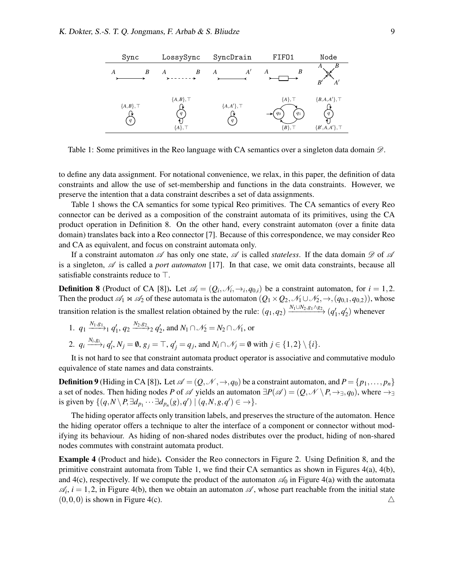

<span id="page-6-0"></span>Table 1: Some primitives in the Reo language with CA semantics over a singleton data domain  $\mathscr{D}$ .

to define any data assignment. For notational convenience, we relax, in this paper, the definition of data constraints and allow the use of set-membership and functions in the data constraints. However, we preserve the intention that a data constraint describes a set of data assignments.

Table [1](#page-6-0) shows the CA semantics for some typical Reo primitives. The CA semantics of every Reo connector can be derived as a composition of the constraint automata of its primitives, using the CA product operation in Definition [8.](#page-6-1) On the other hand, every constraint automaton (over a finite data domain) translates back into a Reo connector [\[7\]](#page-16-16). Because of this correspondence, we may consider Reo and CA as equivalent, and focus on constraint automata only.

If a constraint automaton  $\mathscr A$  has only one state,  $\mathscr A$  is called *stateless*. If the data domain  $\mathscr D$  of  $\mathscr A$ is a singleton,  $\mathscr A$  is called a *port automaton* [\[17\]](#page-16-17). In that case, we omit data constraints, because all satisfiable constraints reduce to  $\top$ .

<span id="page-6-1"></span>**Definition 8** (Product of CA [\[8\]](#page-16-15)). Let  $\mathcal{A}_i = (Q_i, \mathcal{N}_i, \rightarrow_i, q_{0,i})$  be a constraint automaton, for  $i = 1, 2$ . Then the product  $\mathcal{A}_1 \bowtie \mathcal{A}_2$  of these automata is the automaton  $(Q_1 \times Q_2, \mathcal{N}_1 \cup \mathcal{N}_2, \to, (q_{0,1}, q_{0,2}))$ , whose transition relation is the smallest relation obtained by the rule:  $(q_1, q_2) \xrightarrow{N_1 \cup N_2, g_1 \wedge g_2} (q'_1, q'_2)$  whenever

- 1.  $q_1 \xrightarrow{N_1, g_1} q'_1$ ,  $q_2 \xrightarrow{N_2, g_2} q'_2$ , and  $N_1 \cap N_2 = N_2 \cap N_1$ , or
- 2.  $q_i \xrightarrow{N_i, g_i} q'_i$ ,  $N_j = \emptyset$ ,  $g_j = \top$ ,  $q'_j = q_j$ , and  $N_i \cap \mathcal{N}_j = \emptyset$  with  $j \in \{1, 2\} \setminus \{i\}$ .

It is not hard to see that constraint automata product operator is associative and commutative modulo equivalence of state names and data constraints.

**Definition 9** (Hiding in CA [\[8\]](#page-16-15)). Let  $\mathscr{A} = (Q, \mathscr{N}, \rightarrow, q_0)$  be a constraint automaton, and  $P = \{p_1, \dots, p_n\}$ a set of nodes. Then hiding nodes *P* of  $\mathscr A$  yields an automaton  $\exists P(\mathscr A) = (Q,\mathscr N \setminus P,\rightarrow_{\exists},q_0)$ , where  $\rightarrow_{\exists}$ is given by  $\{(q, N \setminus P, \exists d_{p_1} \cdots \exists d_{p_n}(g), q') | (q, N, g, q') \in \rightarrow\}.$ 

The hiding operator affects only transition labels, and preserves the structure of the automaton. Hence the hiding operator offers a technique to alter the interface of a component or connector without modifying its behaviour. As hiding of non-shared nodes distributes over the product, hiding of non-shared nodes commutes with constraint automata product.

<span id="page-6-2"></span>Example 4 (Product and hide). Consider the Reo connectors in Figure [2.](#page-5-3) Using Definition [8,](#page-6-1) and the primitive constraint automata from Table [1,](#page-6-0) we find their CA semantics as shown in Figures [4\(a\),](#page-8-2) [4\(b\),](#page-8-3) and  $4(c)$ , respectively. If we compute the product of the automaton  $\mathcal{A}_0$  in Figure [4\(a\)](#page-8-2) with the automata  $\mathcal{A}_i$ ,  $i = 1, 2$ , in Figure [4\(b\),](#page-8-3) then we obtain an automaton  $\mathcal{A}$ , whose part reachable from the initial state  $(0,0,0)$  is shown in Figure [4\(c\).](#page-8-1)  $\triangle$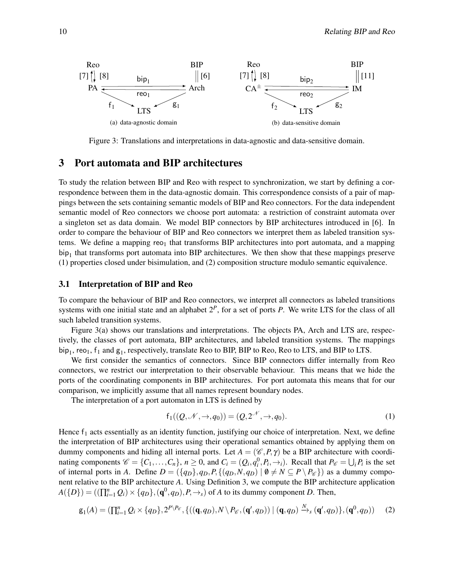<span id="page-7-1"></span>

<span id="page-7-2"></span>Figure 3: Translations and interpretations in data-agnostic and data-sensitive domain.

# <span id="page-7-0"></span>3 Port automata and BIP architectures

To study the relation between BIP and Reo with respect to synchronization, we start by defining a correspondence between them in the data-agnostic domain. This correspondence consists of a pair of mappings between the sets containing semantic models of BIP and Reo connectors. For the data independent semantic model of Reo connectors we choose port automata: a restriction of constraint automata over a singleton set as data domain. We model BIP connectors by BIP architectures introduced in [\[6\]](#page-16-12). In order to compare the behaviour of BIP and Reo connectors we interpret them as labeled transition systems. We define a mapping  $\text{reo}_1$  that transforms BIP architectures into port automata, and a mapping bip<sub>1</sub> that transforms port automata into BIP architectures. We then show that these mappings preserve (1) properties closed under bisimulation, and (2) composition structure modulo semantic equivalence.

#### <span id="page-7-3"></span>3.1 Interpretation of BIP and Reo

To compare the behaviour of BIP and Reo connectors, we interpret all connectors as labeled transitions systems with one initial state and an alphabet  $2^P$ , for a set of ports *P*. We write LTS for the class of all such labeled transition systems.

Figure [3\(a\)](#page-7-1) shows our translations and interpretations. The objects PA, Arch and LTS are, respectively, the classes of port automata, BIP architectures, and labeled transition systems. The mappings bip<sub>1</sub>, reo<sub>1</sub>,  $f_1$  and  $g_1$ , respectively, translate Reo to BIP, BIP to Reo, Reo to LTS, and BIP to LTS.

We first consider the semantics of connectors. Since BIP connectors differ internally from Reo connectors, we restrict our interpretation to their observable behaviour. This means that we hide the ports of the coordinating components in BIP architectures. For port automata this means that for our comparison, we implicitly assume that all names represent boundary nodes.

The interpretation of a port automaton in LTS is defined by

$$
f_1((Q, \mathcal{N}, \to, q_0)) = (Q, 2^{\mathcal{N}}, \to, q_0).
$$
\n<sup>(1)</sup>

Hence  $f_1$  acts essentially as an identity function, justifying our choice of interpretation. Next, we define the interpretation of BIP architectures using their operational semantics obtained by applying them on dummy components and hiding all internal ports. Let  $A = (\mathcal{C}, P, \gamma)$  be a BIP architecture with coordinating components  $\mathscr{C} = \{C_1, ..., C_n\}$ ,  $n \ge 0$ , and  $C_i = (Q_i, q_i^0, P_i, \rightarrow_i)$ . Recall that  $P_{\mathscr{C}} = \bigcup_i P_i$  is the set of internal ports in *A*. Define  $D = (\{q_D\}, q_D, P, \{(q_D, N, q_D) \mid \emptyset \neq N \subseteq P \setminus P_{\mathscr{C}}\})$  as a dummy component relative to the BIP architecture *A*. Using Definition [3,](#page-2-0) we compute the BIP architecture application  $A(\{D\}) = ((\prod_{i=1}^{n} Q_i) \times \{q_D\}, (q^0, q_D), P, \rightarrow_s)$  of *A* to its dummy component *D*. Then,

$$
\mathbf{g}_1(A) = \left(\prod_{i=1}^n Q_i \times \{q_D\}, 2^{P \setminus P_{\mathscr{C}}}, \left\{ \left((\mathbf{q}, q_D), N \setminus P_{\mathscr{C}}, (\mathbf{q}', q_D)\right) \mid (\mathbf{q}, q_D) \xrightarrow{N} \mathbf{g} (\mathbf{q}', q_D) \right\}, (\mathbf{q}^0, q_D) \right\} \tag{2}
$$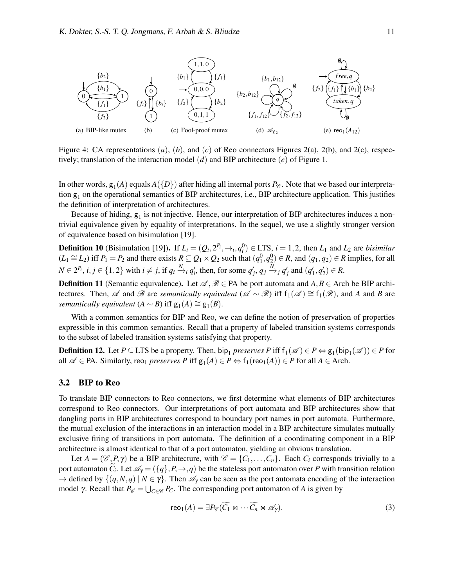<span id="page-8-2"></span>

<span id="page-8-6"></span><span id="page-8-5"></span><span id="page-8-3"></span><span id="page-8-1"></span>Figure 4: CA representations (*a*), (*b*), and (*c*) of Reo connectors Figures [2\(a\),](#page-5-0) [2\(b\),](#page-5-1) and [2\(c\),](#page-5-2) respectively; translation of the interaction model (*d*) and BIP architecture (*e*) of Figure [1.](#page-2-1)

In other words,  $g_1(A)$  equals  $A(\{D\})$  after hiding all internal ports  $P_{\mathscr{C}}$ . Note that we based our interpretation  $g_1$  on the operational semantics of BIP architectures, i.e., BIP architecture application. This justifies the definition of interpretation of architectures.

Because of hiding,  $g_1$  is not injective. Hence, our interpretation of BIP architectures induces a nontrivial equivalence given by equality of interpretations. In the sequel, we use a slightly stronger version of equivalence based on bisimulation [\[19\]](#page-16-18).

<span id="page-8-7"></span>**Definition 10** (Bisimulation [\[19\]](#page-16-18)). If  $L_i = (Q_i, 2^{P_i}, \rightarrow_i, q_i^0) \in \text{LTS}, i = 1, 2$ , then  $L_1$  and  $L_2$  are *bisimilar*  $(L_1 \cong L_2)$  iff  $P_1 = P_2$  and there exists  $R \subseteq Q_1 \times Q_2$  such that  $(q_1^0, q_2^0) \in R$ , and  $(q_1, q_2) \in R$  implies, for all  $N \in 2^{P_i}$ ,  $i, j \in \{1, 2\}$  with  $i \neq j$ , if  $q_i \stackrel{N}{\rightarrow}_i q'_i$ , then, for some  $q'_j, q_j \stackrel{N}{\rightarrow}_j q'_j$  and  $(q'_1, q'_2) \in R$ .

**Definition 11** (Semantic equivalence). Let  $\mathscr{A}, \mathscr{B} \in PA$  be port automata and  $A, B \in Arch$  be BIP architectures. Then,  $\mathscr A$  and  $\mathscr B$  are *semantically equivalent* ( $\mathscr A \sim \mathscr B$ ) iff  $f_1(\mathscr A) \cong f_1(\mathscr B)$ , and *A* and *B* are *semantically equivalent*  $(A \sim B)$  iff  $g_1(A) \cong g_1(B)$ .

With a common semantics for BIP and Reo, we can define the notion of preservation of properties expressible in this common semantics. Recall that a property of labeled transition systems corresponds to the subset of labeled transition systems satisfying that property.

**Definition 12.** Let  $P \subseteq \text{LTS}$  be a property. Then, bip<sub>1</sub> *preserves* P iff  $f_1(\mathscr{A}) \in P \Leftrightarrow g_1(\text{bip}_1(\mathscr{A})) \in P$  for all  $\mathscr{A} \in$  PA. Similarly, reo<sub>1</sub> preserves P iff  $g_1(A) \in P \Leftrightarrow f_1(\text{reo}_1(A)) \in P$  for all  $A \in$  Arch.

### <span id="page-8-8"></span>3.2 BIP to Reo

To translate BIP connectors to Reo connectors, we first determine what elements of BIP architectures correspond to Reo connectors. Our interpretations of port automata and BIP architectures show that dangling ports in BIP architectures correspond to boundary port names in port automata. Furthermore, the mutual exclusion of the interactions in an interaction model in a BIP architecture simulates mutually exclusive firing of transitions in port automata. The definition of a coordinating component in a BIP architecture is almost identical to that of a port automaton, yielding an obvious translation.

<span id="page-8-0"></span>Let  $A = (\mathscr{C}, P, \gamma)$  be a BIP architecture, with  $\mathscr{C} = \{C_1, \ldots, C_n\}$ . Each  $C_i$  corresponds trivially to a port automaton *C*<sub>*i*</sub>. Let  $\mathcal{A}_{\gamma} = (\{q\}, P, \rightarrow, q)$  be the stateless port automaton over *P* with transition relation  $\rightarrow$  defined by  $\{(q, N, q) | N \in \gamma\}$ . Then  $\mathcal{A}_{\gamma}$  can be seen as the port automata encoding of the interaction model γ. Recall that  $P_{\mathscr{C}} = \bigcup_{C \in \mathscr{C}} P_C$ . The corresponding port automaton of *A* is given by

<span id="page-8-4"></span>
$$
\operatorname{reo}_1(A) = \exists P_{\mathscr{C}}(\widetilde{C_1} \bowtie \cdots \widetilde{C_n} \bowtie \mathscr{A}_{\gamma}).
$$
\n(3)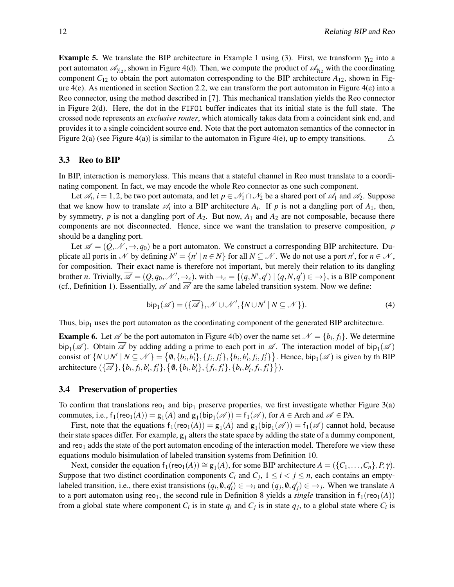**Example 5.** We translate the BIP architecture in Example [1](#page-3-1) using [\(3\)](#page-8-4). First, we transform  $\gamma_1$  into a port automaton  $\mathcal{A}_{\gamma_{12}}$ , shown in Figure [4\(d\).](#page-8-5) Then, we compute the product of  $\mathcal{A}_{\gamma_{12}}$  with the coordinating component  $C_{12}$  to obtain the port automaton corresponding to the BIP architecture  $A_{12}$ , shown in Figure  $4(e)$ . As mentioned in section Section [2.2,](#page-4-0) we can transform the port automaton in Figure  $4(e)$  into a Reo connector, using the method described in [\[7\]](#page-16-16). This mechanical translation yields the Reo connector in Figure [2\(d\).](#page-5-4) Here, the dot in the FIFO1 buffer indicates that its initial state is the full state. The crossed node represents an *exclusive router*, which atomically takes data from a coincident sink end, and provides it to a single coincident source end. Note that the port automaton semantics of the connector in Figure [2\(a\)](#page-5-0) (see Figure [4\(a\)\)](#page-8-2) is similar to the automaton in Figure [4\(e\),](#page-8-6) up to empty transitions.  $\triangle$ 

#### 3.3 Reo to BIP

In BIP, interaction is memoryless. This means that a stateful channel in Reo must translate to a coordinating component. In fact, we may encode the whole Reo connector as one such component.

Let  $\mathscr{A}_i$ ,  $i = 1, 2$ , be two port automata, and let  $p \in \mathscr{N}_1 \cap \mathscr{N}_2$  be a shared port of  $\mathscr{A}_1$  and  $\mathscr{A}_2$ . Suppose that we know how to translate  $\mathcal{A}_i$  into a BIP architecture  $A_i$ . If p is not a dangling port of  $A_1$ , then, by symmetry,  $p$  is not a dangling port of  $A_2$ . But now,  $A_1$  and  $A_2$  are not composable, because there components are not disconnected. Hence, since we want the translation to preserve composition, *p* should be a dangling port.

Let  $\mathscr{A} = (Q,\mathscr{N},\to,q_0)$  be a port automaton. We construct a corresponding BIP architecture. Duplicate all ports in N by defining  $N' = \{n' \mid n \in N\}$  for all  $N \subseteq N$ . We do not use a port *n'*, for  $n \in N$ , for composition. Their exact name is therefore not important, but merely their relation to its dangling brother *n*. Trivially,  $\overline{\mathscr{A}} = (Q, q_0, \mathscr{N}', \to_c)$ , with  $\to_c = \{(q, N', q') \mid (q, N, q') \in \to\}$ , is a BIP component (cf., Definition [1\)](#page-2-2). Essentially,  $\mathscr A$  and  $\overline{\mathscr A}$  are the same labeled transition system. Now we define:

$$
\text{bip}_1(\mathscr{A}) = (\{\overline{\mathscr{A}}\}, \mathscr{N} \cup \mathscr{N}', \{N \cup N' \mid N \subseteq \mathscr{N}\}).
$$
\n(4)

Thus, bip<sub>1</sub> uses the port automaton as the coordinating component of the generated BIP architecture.

**Example 6.** Let  $\mathscr A$  be the port automaton in Figure [4\(b\)](#page-8-3) over the name set  $\mathscr N = \{b_i, f_i\}$ . We determine bip<sub>1</sub>( $\mathscr A$ ). Obtain  $\mathscr A$  by adding adding a prime to each port in  $\mathscr A$ . The interaction model of bip<sub>1</sub>( $\mathscr A$ ) consist of  $\{N \cup N' \mid N \subseteq \mathcal{N}\} = \{\emptyset, \{b_i, b_i'\}, \{f_i, f_i'\}, \{b_i, b_i', f_i, f_i'\}\}\.$  Hence,  $\text{bip}_1(\mathscr{A})$  is given by th BIP architecture  $(\{\overline{\mathscr{A}}\}, \{b_i, f_i, b_i', f_i'\}, \{\emptyset, \{b_i, b_i'\}, \{f_i, f_i'\}, \{b_i, b_i', f_i, f_i'\}\}).$ 

#### 3.4 Preservation of properties

To confirm that translations reo<sub>1</sub> and bip<sub>1</sub> preserve properties, we first investigate whether Figure [3\(a\)](#page-7-1) commutes, i.e.,  $f_1(reo_1(A)) = g_1(A)$  and  $g_1(bip_1(\mathscr{A})) = f_1(\mathscr{A})$ , for  $A \in$  Arch and  $\mathscr{A} \in$  PA.

First, note that the equations  $f_1(reo_1(A)) = g_1(A)$  and  $g_1(bip_1(\mathscr{A})) = f_1(\mathscr{A})$  cannot hold, because their state spaces differ. For example,  $g_1$  alters the state space by adding the state of a dummy component, and reo<sub>1</sub> adds the state of the port automaton encoding of the interaction model. Therefore we view these equations modulo bisimulation of labeled transition systems from Definition [10.](#page-8-7)

Next, consider the equation  $f_1(reo_1(A)) \cong g_1(A)$ , for some BIP architecture  $A = (\{C_1, \ldots, C_n\}, P, \gamma)$ . Suppose that two distinct coordination components  $C_i$  and  $C_j$ ,  $1 \leq i < j \leq n$ , each contains an emptylabeled transition, i.e., there exist transistions  $(q_i, \emptyset, q'_i) \in \rightarrow_i$  and  $(q_j, \emptyset, q'_j) \in \rightarrow_j$ . When we translate *A* to a port automaton using reo<sub>1</sub>, the second rule in Definition [8](#page-6-1) yields a *single* transition in  $f_1$ (reo<sub>1</sub>(*A*)) from a global state where component  $C_i$  is in state  $q_i$  and  $C_j$  is in state  $q_j$ , to a global state where  $C_i$  is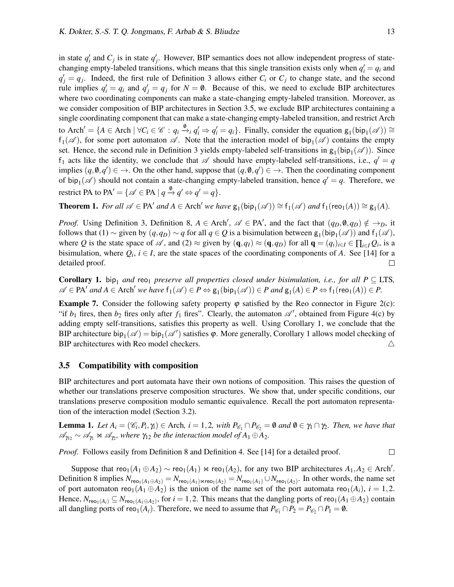in state  $q'_i$  and  $C_j$  is in state  $q'_j$ . However, BIP semantics does not allow independent progress of statechanging empty-labeled transitions, which means that this single transition exists only when  $q'_i = q_i$  and  $q'_{j} = q_{j}$ . Indeed, the first rule of Definition [3](#page-2-0) allows either  $C_{i}$  or  $C_{j}$  to change state, and the second rule implies  $q'_i = q_i$  and  $q'_j = q_j$  for  $N = \emptyset$ . Because of this, we need to exclude BIP architectures where two coordinating components can make a state-changing empty-labeled transition. Moreover, as we consider composition of BIP architectures in Section [3.5,](#page-10-0) we exclude BIP architectures containing a single coordinating component that can make a state-changing empty-labeled transition, and restrict Arch to Arch<sup> $\prime$ </sup> = {*A* ∈ Arch |  $\forall C_i \in \mathcal{C}$  :  $q_i \stackrel{\emptyset}{\rightarrow}_i q'_i \Rightarrow q'_i = q_i$ }. Finally, consider the equation  $g_1(bip_1(\mathcal{A})) \cong$  $f_1(\mathscr{A})$ , for some port automaton  $\mathscr{A}$ . Note that the interaction model of bip<sub>1</sub>( $\mathscr{A}$ ) contains the empty set. Hence, the second rule in Definition [3](#page-2-0) yields empty-labeled self-transitions in  $g_1(bip_1(\mathscr{A}))$ . Since  $f_1$  acts like the identity, we conclude that  $\mathscr A$  should have empty-labeled self-transitions, i.e.,  $q' = q$ implies  $(q, \emptyset, q') \in \to$ . On the other hand, suppose that  $(q, \emptyset, q') \in \to$ . Then the coordinating component of  $\text{bip}_1(\mathscr{A})$  should not contain a state-changing empty-labeled transition, hence  $q' = q$ . Therefore, we restrict PA to PA<sup> $\prime$ </sup> = { $\mathscr{A} \in$  PA |  $q \stackrel{\emptyset}{\rightarrow} q' \Leftrightarrow q' = q$  }.

<span id="page-10-3"></span>**Theorem 1.** For all  $\mathscr{A} \in PA'$  and  $A \in Arch'$  we have  $g_1(bip_1(\mathscr{A})) \cong f_1(\mathscr{A})$  and  $f_1(reo_1(A)) \cong g_1(A)$ .

*Proof.* Using Definition [3,](#page-2-0) Definition [8,](#page-6-1)  $A \in \text{Arch'}$ ,  $\mathscr{A} \in PA'$ , and the fact that  $(q_D, \emptyset, q_D) \notin \rightarrow_D$ , it follows that (1)  $\sim$  given by  $(q, q_D) \sim q$  for all  $q \in Q$  is a bisimulation between  $g_1(bip_1(\mathscr{A}))$  and  $f_1(\mathscr{A})$ , where *Q* is the state space of  $\mathscr A$ , and (2)  $\approx$  given by  $(q, q) \approx (q, q)$  for all  $q = (q_i)_{i \in I} \in \prod_{i \in I} Q_i$ , is a bisimulation, where  $Q_i$ ,  $i \in I$ , are the state spaces of the coordinating components of *A*. See [\[14\]](#page-16-19) for a detailed proof.  $\Box$ 

<span id="page-10-1"></span>**Corollary 1.** bip<sub>1</sub> and reo<sub>1</sub> preserve all properties closed under bisimulation, i.e., for all  $P \subseteq \text{LTS}$ ,  $\mathscr{A} \in \text{PA}'$  and  $A \in \text{Arch}'$  we have  $f_1(\mathscr{A}) \in P \Leftrightarrow g_1(\text{bip}_1(\mathscr{A})) \in P$  and  $g_1(A) \in P \Leftrightarrow f_1(\text{reo}_1(A)) \in P$ .

**Example 7.** Consider the following safety property  $\varphi$  satisfied by the Reo connector in Figure [2\(c\):](#page-5-2) "if  $b_1$  fires, then  $b_2$  fires only after  $f_1$  fires". Clearly, the automaton  $\mathscr{A}'$ , obtained from Figure [4\(c\)](#page-8-1) by adding empty self-transitions, satisfies this property as well. Using Corollary [1,](#page-10-1) we conclude that the BIP architecture  $\text{bin}_1(\mathscr{A}) = \text{bin}_1(\mathscr{A}')$  satisfies  $\varphi$ . More generally, Corollary [1](#page-10-1) allows model checking of BIP architectures with Reo model checkers.  $\triangle$ 

#### <span id="page-10-0"></span>3.5 Compatibility with composition

BIP architectures and port automata have their own notions of composition. This raises the question of whether our translations preserve composition structures. We show that, under specific conditions, our translations preserve composition modulo semantic equivalence. Recall the port automaton representation of the interaction model (Section [3.2\)](#page-8-8).

<span id="page-10-2"></span>**Lemma 1.** Let  $A_i = (\mathscr{C}_i, P_i, \gamma_i) \in$  Arch,  $i = 1, 2$ , with  $P_{\mathscr{C}_1} \cap P_{\mathscr{C}_2} = \emptyset$  and  $\emptyset \in \gamma_1 \cap \gamma_2$ . Then, we have that  $\mathscr{A}_{\gamma_{12}} \sim \mathscr{A}_{\gamma_1} \rtimes \mathscr{A}_{\gamma_2}$ , where  $\gamma_{12}$  be the interaction model of  $A_1 \oplus A_2$ .

*Proof.* Follows easily from Definition [8](#page-6-1) and Definition [4.](#page-3-0) See [\[14\]](#page-16-19) for a detailed proof.  $\Box$ 

Suppose that reo<sub>1</sub>( $A_1 \oplus A_2$ ) ~ reo<sub>1</sub>( $A_1$ )  $\bowtie$  reo<sub>1</sub>( $A_2$ ), for any two BIP architectures  $A_1, A_2 \in \text{Arch}'$ . Definition [8](#page-6-1) implies  $N_{\text{reo}_1(A_1 \oplus A_2)} = N_{\text{reo}_1(A_1) \bowtie \text{reo}_1(A_2)} = N_{\text{reo}_1(A_1)} \cup N_{\text{reo}_1(A_2)}$ . In other words, the name set of port automaton reo<sub>1</sub>( $A_1 \oplus A_2$ ) is the union of the name set of the port automata reo<sub>1</sub>( $A_i$ ),  $i = 1, 2$ . Hence,  $N_{\text{reo}_1(A_i)} \subseteq N_{\text{reo}_1(A_1 \oplus A_2)}$ , for  $i = 1, 2$ . This means that the dangling ports of reo<sub>1</sub>( $A_1 \oplus A_2$ ) contain all dangling ports of reo<sub>1</sub>(*A<sub>i</sub>*). Therefore, we need to assume that  $P_{\mathscr{C}_1} \cap P_2 = P_{\mathscr{C}_2} \cap P_1 = \emptyset$ .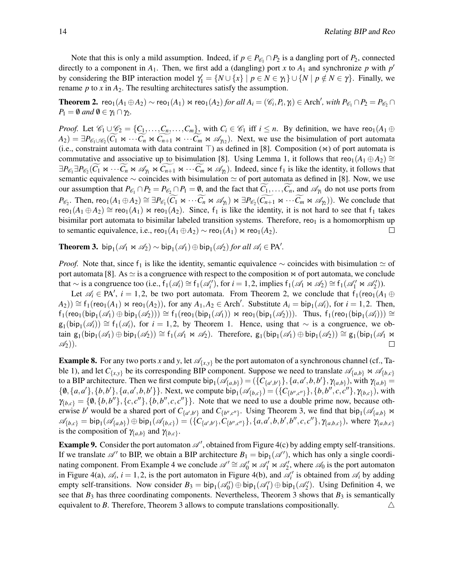Note that this is only a mild assumption. Indeed, if  $p \in P_{\mathscr{C}_1} \cap P_2$  is a dangling port of  $P_2$ , connected directly to a component in  $A_1$ . Then, we first add a (dangling) port *x* to  $A_1$  and synchronize *p* with  $p'$ by considering the BIP interaction model  $\gamma_1' = \{ N \cup \{x\} \mid p \in N \in \gamma_1 \} \cup \{ N \mid p \notin N \in \gamma \}.$  Finally, we rename  $p$  to  $x$  in  $A_2$ . The resulting architectures satisfy the assumption.

<span id="page-11-0"></span>**Theorem 2.** reo<sub>1</sub> $(A_1 \oplus A_2) \sim$  reo<sub>1</sub> $(A_1) \bowtie$  reo<sub>1</sub> $(A_2)$  *for all*  $A_i = (\mathscr{C}_i, P_i, \gamma_i) \in$  Arch', with  $P_{\mathscr{C}_1} \cap P_2 = P_{\mathscr{C}_2} \cap$  $P_1 = \emptyset$  *and*  $\emptyset \in \gamma_1 \cap \gamma_2$ *.* 

*Proof.* Let  $\mathscr{C}_1 \cup \mathscr{C}_2 = \{C_1, \ldots, C_n, \ldots, C_m\}$ , with  $C_i \in \mathscr{C}_1$  iff  $i \leq n$ . By definition, we have reo<sub>1</sub>( $A_1 \oplus$  $A_2$ ) =  $\exists P_{\mathscr{C}_1 \cup \mathscr{C}_2}(\widetilde{C_1} \Join \cdots \widetilde{C_n} \Join \widetilde{C_{n+1}} \Join \cdots \widetilde{C_m} \Join \mathscr{A}_{n_2})$ . Next, we use the bisimulation of port automata (i.e., constraint automata with data contraint  $\top$ ) as defined in [\[8\]](#page-16-15). Composition ( $\Join$ ) of port automata is commutative and associative up to bisimulation [\[8\]](#page-16-15). Using Lemma [1,](#page-10-2) it follows that reo<sub>1</sub>( $A_1 \oplus A_2$ ) ≅  $\exists P_{\mathscr{C}_1} \exists P_{\mathscr{C}_2}(\widetilde{C_1} \Join \cdots \widetilde{C_n} \Join \mathscr{A}_{\gamma_1} \Join \widetilde{C_{n+1}} \Join \cdots \widetilde{C_m} \Join \mathscr{A}_{\gamma_2})$ . Indeed, since  $f_1$  is like the identity, it follows that semantic equivalence  $\sim$  coincides with bisimulation  $\simeq$  of port automata as defined in [\[8\]](#page-16-15). Now, we use our assumption that  $P_{\mathscr{C}_1} \cap P_2 = P_{\mathscr{C}_2} \cap P_1 = \emptyset$ , and the fact that  $C_1, \ldots, C_n$ , and  $\mathscr{A}_{\gamma_1}$  do not use ports from  $P_{\mathscr{C}_2}$ . Then, reo<sub>1</sub> $(A_1 \oplus A_2) \cong \exists P_{\mathscr{C}_1}(\widetilde{C_1} \bowtie \cdots \widetilde{C_n} \bowtie \mathscr{A}_{\gamma_1}) \bowtie \exists P_{\mathscr{C}_2}(\widetilde{C_{n+1}} \bowtie \cdots \widetilde{C_m} \bowtie \mathscr{A}_{\gamma_2})$ . We conclude that  $r\text{eo}_1(A_1 \oplus A_2)$  ≃ reo<sub>1</sub>(*A*<sub>1</sub>)  $\bowtie$  reo<sub>1</sub>(*A*<sub>2</sub>). Since,  $f_1$  is like the identity, it is not hard to see that  $f_1$  takes bisimilar port automata to bisimilar labeled transition systems. Therefore,  $\text{reo}_1$  is a homomorphism up to semantic equivalence, i.e., reo<sub>1</sub>( $A_1 \oplus A_2$ ) ∼ reo<sub>1</sub>( $A_1$ )  $\bowtie$  reo<sub>1</sub>( $A_2$ ).  $\Box$ 

<span id="page-11-1"></span>**Theorem 3.** bip<sub>1</sub>( $\mathscr{A}_1 \bowtie \mathscr{A}_2$ )  $\sim$  bip<sub>1</sub>( $\mathscr{A}_1$ )  $\oplus$  bip<sub>1</sub>( $\mathscr{A}_2$ ) *for all*  $\mathscr{A}_i \in PA'$ .

*Proof.* Note that, since f<sub>1</sub> is like the identity, semantic equivalence  $\sim$  coincides with bisimulation  $\simeq$  of port automata [\[8\]](#page-16-15). As  $\simeq$  is a congruence with respect to the composition  $\bowtie$  of port automata, we conclude that  $\sim$  is a congruence too (i.e.,  $f_1(\mathscr{A}_i) \cong f_1(\mathscr{A}'_i)$ , for  $i = 1, 2$ , implies  $f_1(\mathscr{A}_1 \Join \mathscr{A}_2) \cong f_1(\mathscr{A}'_1 \Join \mathscr{A}'_2)$ ).

Let  $\mathscr{A}_i \in PA'$ ,  $i = 1, 2$ , be two port automata. From Theorem [2,](#page-11-0) we conclude that  $f_1(r\epsilon o_1(A_1 \oplus$  $(A_2)$ )  $\cong f_1$ (reo<sub>1</sub>(*A*<sub>1</sub>)  $\Join$  reo<sub>1</sub>(*A*<sub>2</sub>)), for any  $A_1, A_2 \in \text{Arch}'$ . Substitute  $A_i = \text{bip}_1(\mathscr{A}_i)$ , for  $i = 1, 2$ . Then,  $f_1(\text{reo}_1(\text{bip}_1(\mathscr{A}_1) \oplus \text{bip}_1(\mathscr{A}_2))) \cong f_1(\text{reo}_1(\text{bip}_1(\mathscr{A}_1)) \Join \text{reo}_1(\text{bip}_1(\mathscr{A}_2))).$  Thus,  $f_1(\text{reo}_1(\text{bip}_1(\mathscr{A}_i))) \cong$  $g_1(bip_1(\mathscr{A}_i)) \cong f_1(\mathscr{A}_i)$ , for  $i = 1, 2$ , by Theorem [1.](#page-10-3) Hence, using that  $\sim$  is a congruence, we obtain  $g_1(bip_1(\mathscr{A}_1) \oplus bip_1(\mathscr{A}_2)) \cong f_1(\mathscr{A}_1 \bowtie \mathscr{A}_2)$ . Therefore,  $g_1(bip_1(\mathscr{A}_1) \oplus bip_1(\mathscr{A}_2)) \cong g_1(bip_1(\mathscr{A}_1 \bowtie$  $\mathscr{A}_2)$ ).  $\Box$ 

**Example 8.** For any two ports *x* and *y*, let  $\mathscr{A}_{\{x,y\}}$  be the port automaton of a synchronous channel (cf., Ta-ble [1\)](#page-6-0), and let  $C_{\{x,y\}}$  be its corresponding BIP component. Suppose we need to translate  $\mathscr{A}_{\{a,b\}} \bowtie \mathscr{A}_{\{b,c\}}$ to a BIP architecture. Then we first compute  $\text{bip}_1(\mathscr{A}_{\{a,b\}}) = (\{C_{\{a',b'\}}\}, \{a,a',b,b'\}, \gamma_{\{a,b\}}),$  with  $\gamma_{\{a,b\}} =$  $\{0, \{a,a'\}, \{b,b'\}, \{a,a',b,b'\}\}\$ . Next, we compute  $\text{bip}_1(\mathscr{A}_{\{b,c\}}) = (\{C_{\{b'',c''\}}\}, \{b,b'',c,c''\}, \gamma_{\{b,c\}})\$ , with  $\gamma_{\{b,c\}} = \{\emptyset, \{b,b''\}, \{c,c''\}, \{b,b'',c,c''\}\}.$  Note that we need to use a double prime now, because otherwise *b*' would be a shared port of  $C_{\{a',b'\}}$  and  $C_{\{b'',c''\}}$ . Using Theorem [3,](#page-11-1) we find that bip<sub>1</sub>( $\mathscr{A}_{\{a,b\}}$   $\bowtie$  $\mathscr{A}_{\{b,c\}} = \mathsf{bip}_1(\mathscr{A}_{\{a,b\}}) \oplus \mathsf{bip}_1(\mathscr{A}_{\{b,c\}}) = (\{C_{\{a',b'\}}, C_{\{b'',c''\}}\}, \{a,a',b,b',b'',c,c''\}, \gamma_{\{a,b,c\}}),$  where  $\gamma_{\{a,b,c\}}$ is the composition of  $\gamma_{\{a,b\}}$  and  $\gamma_{\{b,c\}}$ .

**Example 9.** Consider the port automaton  $\mathcal{A}'$ , obtained from Figure [4\(c\)](#page-8-1) by adding empty self-transitions. If we translate  $\mathscr{A}'$  to BIP, we obtain a BIP architecture  $B_1 = \text{bip}_1(\mathscr{A}')$ , which has only a single coordi-nating component. From Example [4](#page-6-2) we conclude  $\mathscr{A}' \cong \mathscr{A}'_0 \bowtie \mathscr{A}'_1 \bowtie \mathscr{A}'_2$ , where  $\mathscr{A}_0$  is the port automaton in Figure [4\(a\),](#page-8-2)  $\mathcal{A}_i$ ,  $i = 1, 2$ , is the port automaton in Figure [4\(b\),](#page-8-3) and  $\mathcal{A}'_i$  is obtained from  $\mathcal{A}_i$  by adding empty self-transitions. Now consider  $B_3 = \text{bip}_1(\mathscr{A}_0') \oplus \text{bip}_1(\mathscr{A}_1') \oplus \text{bip}_1(\mathscr{A}_2')$ . Using Definition [4,](#page-3-0) we see that  $B_3$  has three coordinating components. Nevertheless, Theorem [3](#page-11-1) shows that  $B_3$  is semantically equivalent to *B*. Therefore, Theorem [3](#page-11-1) allows to compute translations compositionally.  $\triangle$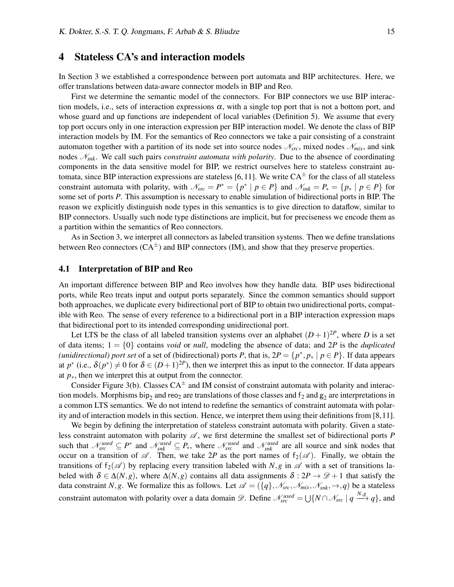### <span id="page-12-0"></span>4 Stateless CA's and interaction models

In Section [3](#page-7-0) we established a correspondence between port automata and BIP architectures. Here, we offer translations between data-aware connector models in BIP and Reo.

First we determine the semantic model of the connectors. For BIP connectors we use BIP interaction models, i.e., sets of interaction expressions  $\alpha$ , with a single top port that is not a bottom port, and whose guard and up functions are independent of local variables (Definition [5\)](#page-3-2). We assume that every top port occurs only in one interaction expression per BIP interaction model. We denote the class of BIP interaction models by IM. For the semantics of Reo connectors we take a pair consisting of a constraint automaton together with a partition of its node set into source nodes  $\mathcal{N}_{src}$ , mixed nodes  $\mathcal{N}_{mix}$ , and sink nodes  $\mathcal{N}_{snk}$ . We call such pairs *constraint automata with polarity*. Due to the absence of coordinating components in the data sensitive model for BIP, we restrict ourselves here to stateless constraint au-tomata, since BIP interaction expressions are stateless [\[6,](#page-16-12) [11\]](#page-16-4). We write  $CA^{\pm}$  for the class of all stateless constraint automata with polarity, with  $\mathcal{N}_{src} = P^* = \{p^* \mid p \in P\}$  and  $\mathcal{N}_{snk} = P_* = \{p_* \mid p \in P\}$  for some set of ports *P*. This assumption is necessary to enable simulation of bidirectional ports in BIP. The reason we explicitly distinguish node types in this semantics is to give direction to dataflow, similar to BIP connectors. Usually such node type distinctions are implicit, but for preciseness we encode them as a partition within the semantics of Reo connectors.

As in Section [3,](#page-7-0) we interpret all connectors as labeled transition systems. Then we define translations between Reo connectors  $(CA^{\pm})$  and BIP connectors (IM), and show that they preserve properties.

#### <span id="page-12-1"></span>4.1 Interpretation of BIP and Reo

An important difference between BIP and Reo involves how they handle data. BIP uses bidirectional ports, while Reo treats input and output ports separately. Since the common semantics should support both approaches, we duplicate every bidirectional port of BIP to obtain two unidirectional ports, compatible with Reo. The sense of every reference to a bidirectional port in a BIP interaction expression maps that bidirectional port to its intended corresponding unidirectional port.

Let LTS be the class of all labeled transition systems over an alphabet  $(D+1)^{2P}$ , where *D* is a set of data items; 1 = {0} contains *void* or *null*, modeling the absence of data; and 2*P* is the *duplicated (unidirectional) port set* of a set of (bidirectional) ports *P*, that is,  $2P = \{p^*, p_* \mid p \in P\}$ . If data appears at  $p^*$  (i.e.,  $\delta(p^*) \neq 0$  for  $\delta \in (D+1)^{2p}$ ), then we interpret this as input to the connector. If data appears at *p*∗, then we interpret this at output from the connector.

Consider Figure [3\(b\).](#page-7-2) Classes  $CA^{\pm}$  and IM consist of constraint automata with polarity and interaction models. Morphisms bip<sub>2</sub> and reo<sub>2</sub> are translations of those classes and  $f_2$  and  $g_2$  are interpretations in a common LTS semantics. We do not intend to redefine the semantics of constraint automata with polarity and of interaction models in this section. Hence, we interpret them using their definitions from [\[8,](#page-16-15)[11\]](#page-16-4).

We begin by defining the interpretation of stateless constraint automata with polarity. Given a stateless constraint automaton with polarity  $\mathscr A$ , we first determine the smallest set of bidirectional ports  $P$ such that  $\mathcal{N}_{src}^{used} \subseteq P^*$  and  $\mathcal{N}_{snk}^{used} \subseteq P_*$ , where  $\mathcal{N}_{src}^{used}$  and  $\mathcal{N}_{snk}^{used}$  are all source and sink nodes that occur on a transition of  $\mathscr A$ . Then, we take 2P as the port names of  $f_2(\mathscr A)$ . Finally, we obtain the transitions of  $f_2(\mathscr{A})$  by replacing every transition labeled with *N*,*g* in  $\mathscr{A}$  with a set of transitions labeled with  $\delta \in \Delta(N,g)$ , where  $\Delta(N,g)$  contains all data assignments  $\delta : 2P \to \mathcal{D} + 1$  that satisfy the data constraint *N*,*g*. We formalize this as follows. Let  $\mathscr{A} = (\{q\},\mathscr{N}_{src},\mathscr{N}_{mix},\mathscr{N}_{snk},\rightarrow,q)$  be a stateless constraint automaton with polarity over a data domain  $\mathscr{D}$ . Define  $\mathscr{N}^{used}_{src} = \bigcup \{ N \cap \mathscr{N}_{src} \mid q \stackrel{N,g}{\longrightarrow} q \}$ , and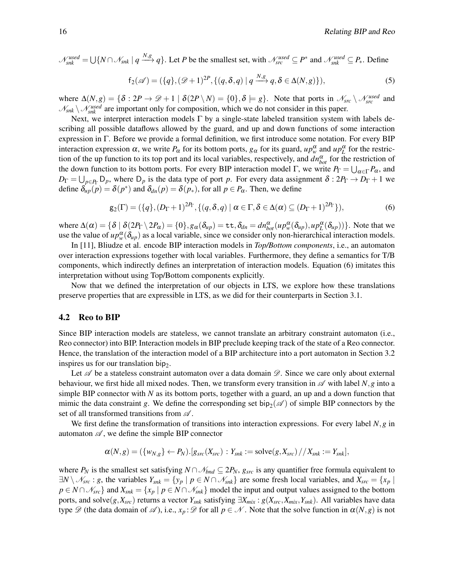$$
\mathcal{N}_{snk}^{used} = \bigcup \{ N \cap \mathcal{N}_{snk} \mid q \xrightarrow{N,g} q \}. \text{ Let } P \text{ be the smallest set, with } \mathcal{N}_{src}^{used} \subseteq P^* \text{ and } \mathcal{N}_{snk}^{used} \subseteq P_*. \text{ Define}
$$

$$
f_2(\mathscr{A}) = (\{q\}, (\mathscr{D} + 1)^{2P}, \{(q, \delta, q) \mid q \xrightarrow{N,g} q, \delta \in \Delta(N, g)\}),
$$
\n<sup>(5)</sup>

where  $\Delta(N,g) = \{\delta : 2P \to \mathcal{D} + 1 \mid \delta(2P \setminus N) = \{0\}, \delta \models g\}$ . Note that ports in  $\mathcal{N}_{src} \setminus \mathcal{N}_{src}^{used}$  and  $\mathcal{N}_{snk} \setminus \mathcal{N}_{snk}^{used}$  are important only for composition, which we do not consider in this paper.

Next, we interpret interaction models  $\Gamma$  by a single-state labeled transition system with labels describing all possible dataflows allowed by the guard, and up and down functions of some interaction expression in Γ. Before we provide a formal definition, we first introduce some notation. For every BIP interaction expression  $\alpha$ , we write  $P_\alpha$  for its bottom ports,  $g_\alpha$  for its guard,  $u p_w^\alpha$  and  $u p_L^\alpha$  for the restriction of the up function to its top port and its local variables, respectively, and  $dn_{bot}^{\alpha}$  for the restriction of the down function to its bottom ports. For every BIP interaction model  $\Gamma$ , we write  $P_{\Gamma} = \bigcup_{\alpha \in \Gamma} P_{\alpha}$ , and  $D_{\Gamma} = \bigcup_{p \in P_{\Gamma}} D_p$ , where  $D_p$  is the data type of port *p*. For every data assignment  $\delta : 2P_{\Gamma} \to D_{\Gamma} + 1$  we define  $\delta_{\mu p}(p) = \delta(p^*)$  and  $\delta_{dn}(p) = \delta(p_*)$ , for all  $p \in P_\alpha$ . Then, we define

<span id="page-13-0"></span>
$$
\mathsf{g}_2(\Gamma) = (\{q\}, (D_\Gamma + 1)^{2P_\Gamma}, \{(q, \delta, q) \mid \alpha \in \Gamma, \delta \in \Delta(\alpha) \subseteq (D_\Gamma + 1)^{2P_\Gamma}\}),\tag{6}
$$

where  $\Delta(\alpha) = \{\delta \mid \delta(2P_{\Gamma} \setminus 2P_{\alpha}) = \{0\}, g_{\alpha}(\delta_{up}) = \mathtt{tt}, \delta_{dn} = dn_{bot}^{\alpha}(u p_{w}^{\alpha}(\delta_{up}), u p_{L}^{\alpha}(\delta_{up}))\}.$  Note that we use the value of  $up_{w}^{\alpha}(\delta_{up})$  as a local variable, since we consider only non-hierarchical interaction models.

In [\[11\]](#page-16-4), Bliudze et al. encode BIP interaction models in *Top/Bottom components*, i.e., an automaton over interaction expressions together with local variables. Furthermore, they define a semantics for T/B components, which indirectly defines an interpretation of interaction models. Equation [\(6\)](#page-13-0) imitates this interpretation without using Top/Bottom components explicitly.

Now that we defined the interpretation of our objects in LTS, we explore how these translations preserve properties that are expressible in LTS, as we did for their counterparts in Section [3.1.](#page-7-3)

#### <span id="page-13-1"></span>4.2 Reo to BIP

Since BIP interaction models are stateless, we cannot translate an arbitrary constraint automaton (i.e., Reo connector) into BIP. Interaction models in BIP preclude keeping track of the state of a Reo connector. Hence, the translation of the interaction model of a BIP architecture into a port automaton in Section [3.2](#page-8-8) inspires us for our translation  $bip_2$ .

Let  $\mathscr A$  be a stateless constraint automaton over a data domain  $\mathscr D$ . Since we care only about external behaviour, we first hide all mixed nodes. Then, we transform every transition in  $\mathscr A$  with label N, g into a simple BIP connector with *N* as its bottom ports, together with a guard, an up and a down function that mimic the data constraint *g*. We define the corresponding set  $\text{bip}_2(\mathscr{A})$  of simple BIP connectors by the set of all transformed transitions from  $\mathscr A$ .

We first define the transformation of transitions into interaction expressions. For every label *N*,*g* in automaton  $\mathscr A$ , we define the simple BIP connector

$$
\alpha(N,g)=(\{w_{N,g}\}\leftarrow P_N).[g_{src}(X_{src}):Y_{snk}:=\mathrm{solve}(g,X_{src})//X_{snk}:=Y_{snk}],
$$

where  $P_N$  is the smallest set satisfying  $N \cap \mathcal{N}_{bnd} \subseteq 2P_N$ ,  $g_{src}$  is any quantifier free formula equivalent to  $\exists N \setminus \mathcal{N}_{src} : g$ , the variables  $Y_{snk} = \{y_p | p \in N \cap \mathcal{N}_{snk}\}\$  are some fresh local variables, and  $X_{src} = \{x_p | s_p\}$  $p \in N \cap \mathcal{N}_{src}$  and  $X_{snk} = \{x_p | p \in N \cap \mathcal{N}_{snk}\}$  model the input and output values assigned to the bottom ports, and solve $(g, X_{src})$  returns a vector  $Y_{snk}$  satisfying  $\exists X_{mix} : g(X_{src}, X_{mix}, Y_{snk})$ . All variables have data type  $\mathscr{D}$  (the data domain of  $\mathscr{A}$ ), i.e.,  $x_p : \mathscr{D}$  for all  $p \in \mathscr{N}$ . Note that the solve function in  $\alpha(N, g)$  is not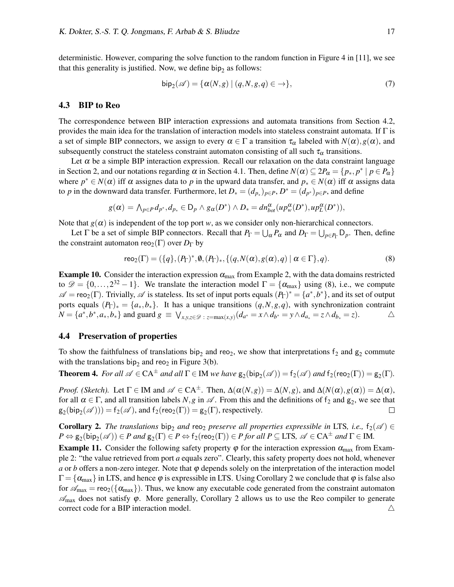deterministic. However, comparing the solve function to the random function in Figure 4 in [\[11\]](#page-16-4), we see that this generality is justified. Now, we define  $bip_2$  as follows:

$$
\text{bip}_2(\mathscr{A}) = \{ \alpha(N, g) \mid (q, N, g, q) \in \to \},\tag{7}
$$

#### 4.3 BIP to Reo

The correspondence between BIP interaction expressions and automata transitions from Section [4.2,](#page-13-1) provides the main idea for the translation of interaction models into stateless constraint automata. If  $\Gamma$  is a set of simple BIP connectors, we assign to every  $\alpha \in \Gamma$  a transition  $\tau_{\alpha}$  labeled with  $N(\alpha)$ ,  $g(\alpha)$ , and subsequently construct the stateless constraint automaton consisting of all such  $\tau_{\alpha}$  transitions.

Let  $\alpha$  be a simple BIP interaction expression. Recall our relaxation on the data constraint language in Section [2,](#page-1-0) and our notations regarding  $\alpha$  in Section [4.1.](#page-12-1) Then, define  $N(\alpha) \subseteq 2P_\alpha = \{p_*, p^* \mid p \in P_\alpha\}$ where  $p^* \in N(\alpha)$  iff  $\alpha$  assignes data to  $p$  in the upward data transfer, and  $p_* \in N(\alpha)$  iff  $\alpha$  assigns data to *p* in the downward data transfer. Furthermore, let  $D_* = (d_{p_*})_{p \in P}$ ,  $D^* = (d_{p^*})_{p \in P}$ , and define

$$
g(\alpha) = \bigwedge_{p \in P} d_{p^*}, d_{p_*} \in D_p \wedge g_{\alpha}(D^*) \wedge D_* = dn_{bot}^{\alpha}(up_w^{\alpha}(D^*), up_L^{\alpha}(D^*)),
$$

Note that  $g(\alpha)$  is independent of the top port *w*, as we consider only non-hierarchical connectors.

Let  $\Gamma$  be a set of simple BIP connectors. Recall that  $P_{\Gamma} = \bigcup_{\alpha} P_{\alpha}$  and  $D_{\Gamma} = \bigcup_{p \in P_{\Gamma}} D_p$ . Then, define the constraint automaton reo<sub>2</sub>(Γ) over  $D_{\Gamma}$  by

<span id="page-14-0"></span>
$$
reo_2(\Gamma) = (\{q\}, (P_{\Gamma})^*, \emptyset, (P_{\Gamma})_*, \{(q, N(\alpha), g(\alpha), q) \mid \alpha \in \Gamma\}, q).
$$
\n(8)

**Example 10.** Consider the interaction expression  $\alpha_{\text{max}}$  from Example [2,](#page-4-1) with the data domains restricted to  $\mathscr{D} = \{0, \ldots, 2^{32} - 1\}$ . We translate the interaction model  $\Gamma = \{\alpha_{\text{max}}\}$  using [\(8\)](#page-14-0), i.e., we compute  $\mathscr{A} = \text{reo}_2(\Gamma)$ . Trivially,  $\mathscr{A}$  is stateless. Its set of input ports equals  $(P_{\Gamma})^* = \{a^*, b^*\}$ , and its set of output ports equals  $(P_{\Gamma})_* = \{a_*, b_*\}.$  It has a unique transitions  $(q, N, g, q)$ , with synchronization contraint  $N = \{a^*, b^*, a_*, b_*\}$  and guard  $g \equiv \bigvee_{x, y, z \in \mathcal{D}} \varepsilon_{z = \max(x, y)} (d_{a^*} = x \wedge d_{b^*} = y \wedge d_{a_*} = z \wedge d_{b_*} = z).$   $\triangle$ 

#### 4.4 Preservation of properties

To show the faithfulness of translations  $\text{bip}_2$  and reo<sub>2</sub>, we show that interpretations  $f_2$  and  $g_2$  commute with the translations  $bip_2$  and reo<sub>2</sub> in Figure [3\(b\).](#page-7-2)

**Theorem 4.** For all  $\mathscr{A} \in CA^{\pm}$  and all  $\Gamma \in IM$  we have  $g_2(bip_2(\mathscr{A})) = f_2(\mathscr{A})$  and  $f_2(reo_2(\Gamma)) = g_2(\Gamma)$ .

*Proof.* (*Sketch*). Let  $\Gamma \in \mathbb{M}$  and  $\mathscr{A} \in \mathbb{C}A^{\pm}$ . Then,  $\Delta(\alpha(N,g)) = \Delta(N,g)$ , and  $\Delta(N(\alpha),g(\alpha)) = \Delta(\alpha)$ , for all  $\alpha \in \Gamma$ , and all transition labels  $N, g$  in  $\mathscr A$ . From this and the definitions of  $f_2$  and  $g_2$ , we see that  $g_2(bip_2(\mathscr{A})) = f_2(\mathscr{A})$ , and  $f_2(reo_2(\Gamma)) = g_2(\Gamma)$ , respectively.  $\Box$ 

<span id="page-14-1"></span>Corollary 2. *The translations* bip<sub>2</sub> and reo<sub>2</sub> preserve all properties expressible in LTS, i.e.,  $f_2(\mathscr{A}) \in$  $P \Leftrightarrow g_2(\text{bip}_2(\mathscr{A})) \in P$  and  $g_2(\Gamma) \in P \Leftrightarrow f_2(\text{reo}_2(\Gamma)) \in P$  for all  $P \subseteq \text{LTS}, \ \mathscr{A} \in \text{CA}^{\pm}$  and  $\Gamma \in \text{IM}.$ 

Example 11. Consider the following safety property  $\varphi$  for the interaction expression  $\alpha_{\text{max}}$  from Example [2:](#page-4-1) "the value retrieved from port *a* equals zero". Clearly, this safety property does not hold, whenever *a* or *b* offers a non-zero integer. Note that  $\varphi$  depends solely on the interpretation of the interaction model  $\Gamma = \{\alpha_{\text{max}}\}\$  in LTS, and hence  $\varphi$  is expressible in LTS. Using Corollary [2](#page-14-1) we conclude that  $\varphi$  is false also for  $\mathcal{A}_{max}$  = reo<sub>2</sub>({ $\alpha_{max}$ }). Thus, we know any executable code generated from the constraint automaton  $\mathcal{A}_{\text{max}}$  does not satisfy  $\varphi$ . More generally, Corollary [2](#page-14-1) allows us to use the Reo compiler to generate correct code for a BIP interaction model.  $\triangle$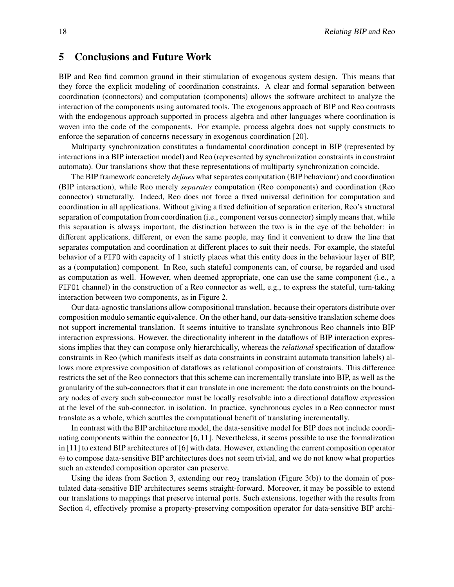## <span id="page-15-0"></span>5 Conclusions and Future Work

BIP and Reo find common ground in their stimulation of exogenous system design. This means that they force the explicit modeling of coordination constraints. A clear and formal separation between coordination (connectors) and computation (components) allows the software architect to analyze the interaction of the components using automated tools. The exogenous approach of BIP and Reo contrasts with the endogenous approach supported in process algebra and other languages where coordination is woven into the code of the components. For example, process algebra does not supply constructs to enforce the separation of concerns necessary in exogenous coordination [\[20\]](#page-16-6).

Multiparty synchronization constitutes a fundamental coordination concept in BIP (represented by interactions in a BIP interaction model) and Reo (represented by synchronization constraints in constraint automata). Our translations show that these representations of multiparty synchronization coincide.

The BIP framework concretely *defines* what separates computation (BIP behaviour) and coordination (BIP interaction), while Reo merely *separates* computation (Reo components) and coordination (Reo connector) structurally. Indeed, Reo does not force a fixed universal definition for computation and coordination in all applications. Without giving a fixed definition of separation criterion, Reo's structural separation of computation from coordination (i.e., component versus connector) simply means that, while this separation is always important, the distinction between the two is in the eye of the beholder: in different applications, different, or even the same people, may find it convenient to draw the line that separates computation and coordination at different places to suit their needs. For example, the stateful behavior of a FIFO with capacity of 1 strictly places what this entity does in the behaviour layer of BIP, as a (computation) component. In Reo, such stateful components can, of course, be regarded and used as computation as well. However, when deemed appropriate, one can use the same component (i.e., a FIFO1 channel) in the construction of a Reo connector as well, e.g., to express the stateful, turn-taking interaction between two components, as in Figure [2.](#page-5-3)

Our data-agnostic translations allow compositional translation, because their operators distribute over composition modulo semantic equivalence. On the other hand, our data-sensitive translation scheme does not support incremental translation. It seems intuitive to translate synchronous Reo channels into BIP interaction expressions. However, the directionality inherent in the dataflows of BIP interaction expressions implies that they can compose only hierarchically, whereas the *relational* specification of dataflow constraints in Reo (which manifests itself as data constraints in constraint automata transition labels) allows more expressive composition of dataflows as relational composition of constraints. This difference restricts the set of the Reo connectors that this scheme can incrementally translate into BIP, as well as the granularity of the sub-connectors that it can translate in one increment: the data constraints on the boundary nodes of every such sub-connector must be locally resolvable into a directional dataflow expression at the level of the sub-connector, in isolation. In practice, synchronous cycles in a Reo connector must translate as a whole, which scuttles the computational benefit of translating incrementally.

In contrast with the BIP architecture model, the data-sensitive model for BIP does not include coordinating components within the connector [\[6,](#page-16-12) [11\]](#page-16-4). Nevertheless, it seems possible to use the formalization in [\[11\]](#page-16-4) to extend BIP architectures of [\[6\]](#page-16-12) with data. However, extending the current composition operator ⊕ to compose data-sensitive BIP architectures does not seem trivial, and we do not know what properties such an extended composition operator can preserve.

Using the ideas from Section [3,](#page-7-0) extending our reo<sub>2</sub> translation (Figure [3\(b\)\)](#page-7-2) to the domain of postulated data-sensitive BIP architectures seems straight-forward. Moreover, it may be possible to extend our translations to mappings that preserve internal ports. Such extensions, together with the results from Section [4,](#page-12-0) effectively promise a property-preserving composition operator for data-sensitive BIP archi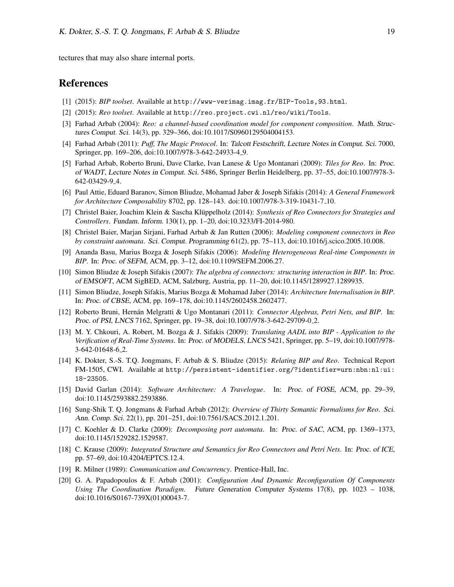tectures that may also share internal ports.

### References

- <span id="page-16-9"></span>[1] (2015): *BIP toolset*. Available at <http://www-verimag.imag.fr/BIP-Tools,93.html>.
- <span id="page-16-10"></span>[2] (2015): *Reo toolset*. Available at <http://reo.project.cwi.nl/reo/wiki/Tools>.
- <span id="page-16-3"></span>[3] Farhad Arbab (2004): *Reo: a channel-based coordination model for component composition*. Math. Structures Comput. Sci. 14(3), pp. 329–366, doi[:10.1017/S0960129504004153.](http://dx.doi.org/10.1017/S0960129504004153)
- <span id="page-16-5"></span>[4] Farhad Arbab (2011): *Puff, The Magic Protocol*. In: Talcott Festschrift, Lecture Notes in Comput. Sci. 7000, Springer, pp. 169–206, doi[:10.1007/978-3-642-24933-4](http://dx.doi.org/10.1007/978-3-642-24933-4_9) 9.
- <span id="page-16-13"></span>[5] Farhad Arbab, Roberto Bruni, Dave Clarke, Ivan Lanese & Ugo Montanari (2009): *Tiles for Reo*. In: Proc. of WADT, Lecture Notes in Comput. Sci. 5486, Springer Berlin Heidelberg, pp. 37–55, doi[:10.1007/978-3-](http://dx.doi.org/10.1007/978-3-642-03429-9_4) [642-03429-9](http://dx.doi.org/10.1007/978-3-642-03429-9_4) 4.
- <span id="page-16-12"></span>[6] Paul Attie, Eduard Baranov, Simon Bliudze, Mohamad Jaber & Joseph Sifakis (2014): *A General Framework for Architecture Composability* 8702, pp. 128–143. doi[:10.1007/978-3-319-10431-7](http://dx.doi.org/10.1007/978-3-319-10431-7_10) 10.
- <span id="page-16-16"></span>[7] Christel Baier, Joachim Klein & Sascha Klüppelholz (2014): Synthesis of Reo Connectors for Strategies and *Controllers*. Fundam. Inform. 130(1), pp. 1–20, doi[:10.3233/FI-2014-980.](http://dx.doi.org/10.3233/FI-2014-980)
- <span id="page-16-15"></span>[8] Christel Baier, Marjan Sirjani, Farhad Arbab & Jan Rutten (2006): *Modeling component connectors in Reo by constraint automata*. Sci. Comput. Programming 61(2), pp. 75–113, doi[:10.1016/j.scico.2005.10.008.](http://dx.doi.org/10.1016/j.scico.2005.10.008)
- <span id="page-16-1"></span>[9] Ananda Basu, Marius Bozga & Joseph Sifakis (2006): *Modeling Heterogeneous Real-time Components in BIP*. In: Proc. of SEFM, ACM, pp. 3–12, doi[:10.1109/SEFM.2006.27.](http://dx.doi.org/10.1109/SEFM.2006.27)
- <span id="page-16-2"></span>[10] Simon Bliudze & Joseph Sifakis (2007): *The algebra of connectors: structuring interaction in BIP*. In: Proc. of EMSOFT, ACM SigBED, ACM, Salzburg, Austria, pp. 11–20, doi[:10.1145/1289927.1289935.](http://dx.doi.org/10.1145/1289927.1289935)
- <span id="page-16-4"></span>[11] Simon Bliudze, Joseph Sifakis, Marius Bozga & Mohamad Jaber (2014): *Architecture Internalisation in BIP*. In: Proc. of CBSE, ACM, pp. 169–178, doi[:10.1145/2602458.2602477.](http://dx.doi.org/10.1145/2602458.2602477)
- <span id="page-16-7"></span>[12] Roberto Bruni, Hernán Melgratti & Ugo Montanari (2011): *Connector Algebras, Petri Nets, and BIP*. In: Proc. of PSI, LNCS 7162, Springer, pp. 19–38, doi[:10.1007/978-3-642-29709-0](http://dx.doi.org/10.1007/978-3-642-29709-0_2) 2.
- <span id="page-16-8"></span>[13] M. Y. Chkouri, A. Robert, M. Bozga & J. Sifakis (2009): *Translating AADL into BIP - Application to the Verification of Real-Time Systems*. In: Proc. of MODELS, LNCS 5421, Springer, pp. 5–19, doi[:10.1007/978-](http://dx.doi.org/10.1007/978-3-642-01648-6_2) [3-642-01648-6](http://dx.doi.org/10.1007/978-3-642-01648-6_2) 2.
- <span id="page-16-19"></span>[14] K. Dokter, S.-S. T.Q. Jongmans, F. Arbab & S. Bliudze (2015): *Relating BIP and Reo*. Technical Report FM-1505, CWI. Available at [http://persistent-identifier.org/?identifier=urn:nbn:nl:ui:](http://persistent-identifier.org/?identifier=urn:nbn:nl:ui:18-23505) [18-23505](http://persistent-identifier.org/?identifier=urn:nbn:nl:ui:18-23505).
- <span id="page-16-0"></span>[15] David Garlan (2014): *Software Architecture: A Travelogue*. In: Proc. of FOSE, ACM, pp. 29–39, doi[:10.1145/2593882.2593886.](http://dx.doi.org/10.1145/2593882.2593886)
- <span id="page-16-11"></span>[16] Sung-Shik T. Q. Jongmans & Farhad Arbab (2012): *Overview of Thirty Semantic Formalisms for Reo*. Sci. Ann. Comp. Sci. 22(1), pp. 201–251, doi[:10.7561/SACS.2012.1.201.](http://dx.doi.org/10.7561/SACS.2012.1.201)
- <span id="page-16-17"></span>[17] C. Koehler & D. Clarke (2009): *Decomposing port automata*. In: Proc. of SAC, ACM, pp. 1369–1373, doi[:10.1145/1529282.1529587.](http://dx.doi.org/10.1145/1529282.1529587)
- <span id="page-16-14"></span>[18] C. Krause (2009): *Integrated Structure and Semantics for Reo Connectors and Petri Nets*. In: Proc. of ICE, pp. 57–69, doi[:10.4204/EPTCS.12.4.](http://dx.doi.org/10.4204/EPTCS.12.4)
- <span id="page-16-18"></span>[19] R. Milner (1989): *Communication and Concurrency*. Prentice-Hall, Inc.
- <span id="page-16-6"></span>[20] G. A. Papadopoulos & F. Arbab (2001): *Configuration And Dynamic Reconfiguration Of Components Using The Coordination Paradigm*. Future Generation Computer Systems 17(8), pp. 1023 – 1038, doi[:10.1016/S0167-739X\(01\)00043-7.](http://dx.doi.org/10.1016/S0167-739X(01)00043-7)